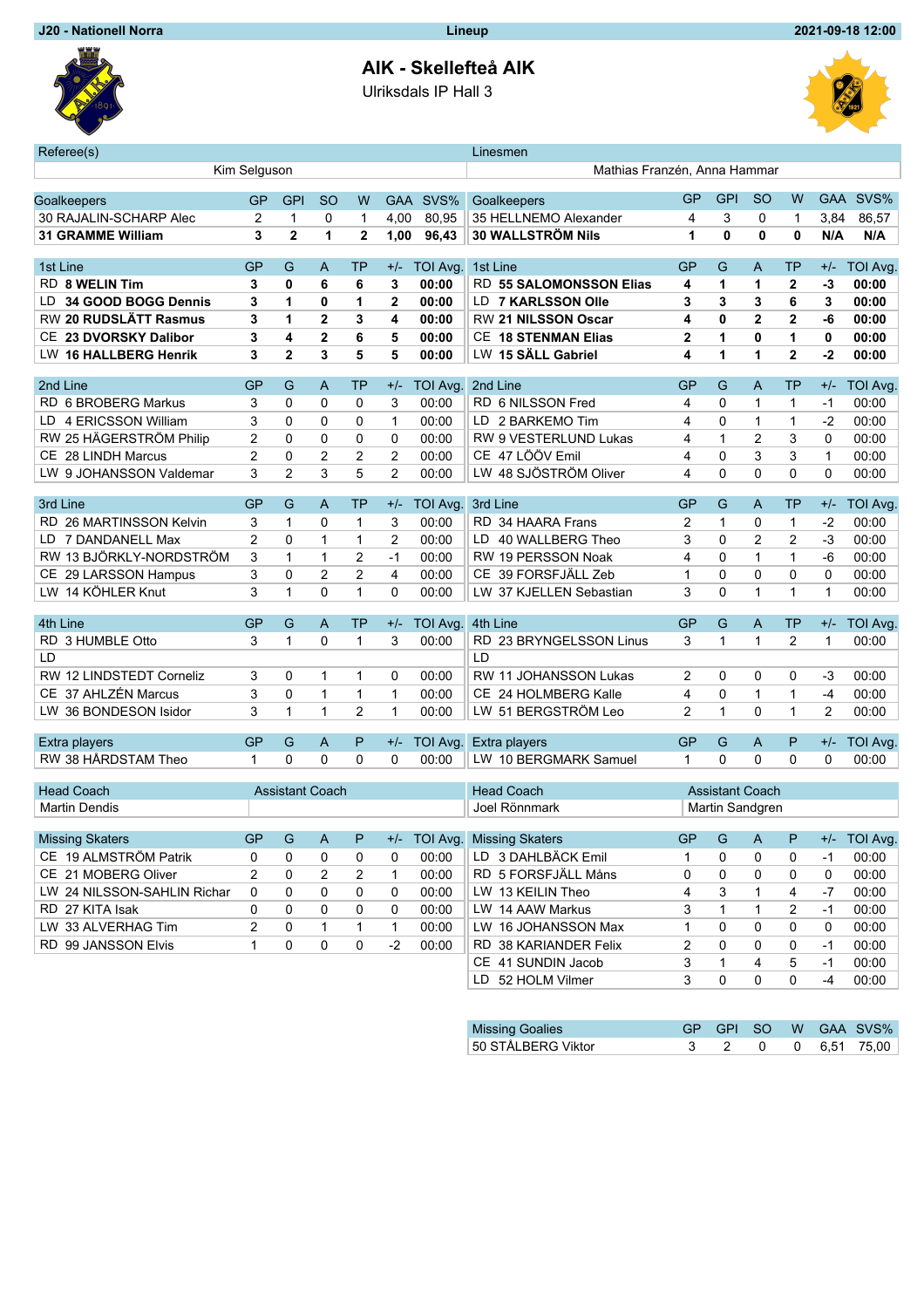## **AIK - Skellefteå AIK**

Ulriksdals IP Hall 3



| Referee(s)                         |                |                        |                |                |                              |          | Linesmen                     |                |                        |                |                |                |                 |
|------------------------------------|----------------|------------------------|----------------|----------------|------------------------------|----------|------------------------------|----------------|------------------------|----------------|----------------|----------------|-----------------|
| Kim Selguson                       |                |                        |                |                | Mathias Franzén, Anna Hammar |          |                              |                |                        |                |                |                |                 |
|                                    |                |                        |                |                |                              |          |                              | GP             | <b>GPI</b>             | <sub>SO</sub>  | W              |                | GAA SVS%        |
| Goalkeepers                        | GP             | <b>GPI</b>             | <b>SO</b>      | W              | <b>GAA</b>                   | SVS%     | Goalkeepers                  |                |                        |                |                |                |                 |
| 30 RAJALIN-SCHARP Alec             | 2              | $\mathbf{1}$           | 0              | $\mathbf{1}$   | 4,00                         | 80,95    | 35 HELLNEMO Alexander        | 4              | 3                      | 0              | 1              | 3,84           | 86,57           |
| <b>31 GRAMME William</b>           | 3              | $\overline{2}$         | 1              | $\mathbf{2}$   | 1,00                         | 96,43    | <b>30 WALLSTRÖM Nils</b>     | 1              | 0                      | 0              | 0              | N/A            | N/A             |
| 1st Line                           | GP             | G                      | A              | TP             | $+/-$                        | TOI Avg. | 1st Line                     | GP             | G                      | A              | <b>TP</b>      | $+/-$          | <b>TOI Avg.</b> |
| RD 8 WELIN Tim                     | 3              | 0                      | 6              | 6              | 3                            | 00:00    | RD 55 SALOMONSSON Elias      | 4              | 1                      | 1              | $\mathbf{2}$   | $-3$           | 00:00           |
| 34 GOOD BOGG Dennis<br>LD          | 3              | 1                      | 0              | 1              | $\mathbf{2}$                 | 00:00    | LD 7 KARLSSON Olle           | 3              | 3                      | 3              | 6              | 3              | 00:00           |
| RW 20 RUDSLÄTT Rasmus              | 3              | 1                      | $\overline{2}$ | 3              | 4                            | 00:00    | RW 21 NILSSON Oscar          | 4              | 0                      | $\overline{2}$ | $\mathbf{2}$   | $-6$           | 00:00           |
| 23 DVORSKY Dalibor<br>CE.          | 3              | 4                      | $\overline{2}$ | 6              | 5                            | 00:00    | <b>CE 18 STENMAN Elias</b>   | $\mathbf 2$    | 1                      | $\mathbf{0}$   | 1              | 0              | 00:00           |
| <b>16 HALLBERG Henrik</b><br>LW.   | 3              | $\mathbf{2}$           | 3              | 5              | 5                            | 00:00    | LW 15 SÄLL Gabriel           | 4              | 1                      | 1              | $\mathbf{2}$   | $-2$           | 00:00           |
|                                    |                |                        |                |                |                              |          |                              |                |                        |                |                |                |                 |
| 2nd Line                           | GP             | G                      | A              | TP             | $+/-$                        | TOI Avg. | 2nd Line                     | GP             | G                      | A              | <b>TP</b>      | $+/-$          | <b>TOI Avg</b>  |
| RD 6 BROBERG Markus                | 3              | 0                      | 0              | 0              | 3                            | 00:00    | RD 6 NILSSON Fred            | 4              | 0                      | 1              | $\mathbf{1}$   | $-1$           | 00:00           |
| 4 ERICSSON William<br>LD           | 3              | 0                      | $\Omega$       | 0              | 1                            | 00:00    | LD 2 BARKEMO Tim             | 4              | 0                      | 1              | $\mathbf{1}$   | -2             | 00:00           |
| RW 25 HÄGERSTRÖM Philip            | 2              | 0                      | 0              | 0              | 0                            | 00:00    | RW 9 VESTERLUND Lukas        | 4              | 1                      | 2              | 3              | $\Omega$       | 00:00           |
| CE 28 LINDH Marcus                 | $\overline{2}$ | 0                      | $\overline{2}$ | 2              | $\overline{2}$               | 00:00    | CE 47 LÖÖV Emil              | 4              | 0                      | 3              | 3              | $\mathbf{1}$   | 00:00           |
| LW 9 JOHANSSON Valdemar            | 3              | $\overline{2}$         | 3              | 5              | $\overline{2}$               | 00:00    | LW 48 SJÖSTRÖM Oliver        | 4              | 0                      | $\Omega$       | $\Omega$       | $\Omega$       | 00:00           |
| 3rd Line                           | GP             | G                      | A              | TP             | $+/-$                        | TOI Avg. | 3rd Line                     | GP             | G                      | A              | TP             | $+/-$          | <b>TOI Avg</b>  |
| RD<br>26 MARTINSSON Kelvin         | 3              | 1                      | 0              | 1              | 3                            | 00:00    | RD 34 HAARA Frans            | 2              | 1                      | 0              | $\mathbf{1}$   | $-2$           | 00:00           |
| 7 DANDANELL Max<br>LD              | $\overline{2}$ | 0                      | 1              | $\mathbf{1}$   | $\overline{2}$               | 00:00    | LD 40 WALLBERG Theo          | 3              | 0                      | $\overline{2}$ | $\overline{2}$ | $-3$           | 00:00           |
| RW 13 BJÖRKLY-NORDSTRÖM            | 3              | $\mathbf{1}$           | 1              | 2              | $-1$                         | 00:00    | RW 19 PERSSON Noak           | 4              | 0                      | $\mathbf{1}$   | $\mathbf{1}$   | $-6$           | 00:00           |
| CЕ<br>29 LARSSON Hampus            | 3              | 0                      | $\overline{2}$ | $\overline{c}$ | 4                            | 00:00    | CE 39 FORSFJÄLL Zeb          | $\mathbf 1$    | 0                      | $\Omega$       | 0              | 0              | 00:00           |
| 14 KÖHLER Knut<br>LW.              | 3              | $\mathbf{1}$           | $\Omega$       | $\mathbf{1}$   | $\Omega$                     | 00:00    | LW 37 KJELLEN Sebastian      | 3              | 0                      | 1              | $\mathbf{1}$   | $\mathbf{1}$   | 00:00           |
|                                    |                |                        |                |                |                              |          |                              |                |                        |                |                |                |                 |
| 4th Line                           | GP             | G                      | A              | <b>TP</b>      | $+/-$                        | TOI Avg. | 4th Line                     | GP             | G                      | A              | <b>TP</b>      | $+/-$          | TOI Avg.        |
| RD 3 HUMBLE Otto                   | 3              | $\mathbf{1}$           | $\Omega$       | $\mathbf{1}$   | 3                            | 00:00    | RD 23 BRYNGELSSON Linus      | 3              | 1                      | 1              | $\overline{2}$ | $\overline{1}$ | 00:00           |
| LD                                 |                |                        |                |                |                              |          | LD                           |                |                        |                |                |                |                 |
| 12 LINDSTEDT Corneliz<br><b>RW</b> | 3              | 0                      | 1              | $\mathbf{1}$   | 0                            | 00:00    | RW 11 JOHANSSON Lukas        | 2              | 0                      | 0              | 0              | $-3$           | 00:00           |
| CE 37 AHLZÉN Marcus                | 3              | 0                      | 1              | $\mathbf{1}$   | $\mathbf{1}$                 | 00:00    | CE 24 HOLMBERG Kalle         | 4              | 0                      | $\mathbf{1}$   | $\mathbf{1}$   | $-4$           | 00:00           |
| LW 36 BONDESON Isidor              | 3              | $\mathbf{1}$           | $\mathbf{1}$   | $\overline{2}$ | $\mathbf{1}$                 | 00:00    | LW 51 BERGSTRÖM Leo          | $\overline{2}$ | 1                      | $\Omega$       | $\mathbf{1}$   | 2              | 00:00           |
|                                    |                |                        |                |                |                              |          |                              |                |                        |                |                |                |                 |
| Extra players                      | GP             | G                      | A              | P              | $+/-$                        | TOI Avg. | Extra players                | <b>GP</b>      | G                      | A              | P              | $+/-$          | TOI Avg.        |
| RW 38 HÅRDSTAM Theo                | 1              | 0                      | $\Omega$       | 0              | $\Omega$                     | 00:00    | LW 10 BERGMARK Samuel        | 1              | 0                      | 0              | 0              | $\Omega$       | 00:00           |
| <b>Head Coach</b>                  |                | <b>Assistant Coach</b> |                |                |                              |          | <b>Head Coach</b>            |                | <b>Assistant Coach</b> |                |                |                |                 |
| <b>Martin Dendis</b>               |                |                        |                |                |                              |          | Joel Rönnmark                |                | Martin Sandgren        |                |                |                |                 |
|                                    |                |                        |                |                |                              |          |                              |                |                        |                |                |                |                 |
| <b>Missing Skaters</b>             | GP             | G                      | А              | P              |                              |          | +/- TOI Avg. Missing Skaters | GP             | G                      | A              | P              |                | +/- TOI Avg.    |
| CE 19 ALMSTRÖM Patrik              | 0              | 0                      | 0              | 0              | 0                            | 00:00    | LD 3 DAHLBÄCK Emil           | 1              | 0                      | 0              | 0              | -1             | 00:00           |
| CE 21 MOBERG Oliver                | 2              | 0                      | 2              | 2              | 1                            | 00:00    | RD 5 FORSFJÄLL Måns          | 0              | 0                      | 0              | 0              | 0              | 00:00           |
| LW 24 NILSSON-SAHLIN Richar        | 0              | 0                      | 0              | 0              | 0                            | 00:00    | LW 13 KEILIN Theo            | 4              | 3                      | 1              | 4              | -7             | 00:00           |
| RD 27 KITA Isak                    | 0              | 0                      | 0              | 0              | 0                            | 00:00    | LW 14 AAW Markus             | 3              | 1                      | 1              | 2              | $-1$           | 00:00           |
| LW 33 ALVERHAG Tim                 | 2              | 0                      | 1              | 1              | 1                            | 00:00    | LW 16 JOHANSSON Max          | 1              | 0                      | 0              | 0              | 0              | 00:00           |
| RD 99 JANSSON Elvis                | 1              | 0                      | 0              | 0              | $-2$                         | 00:00    | RD 38 KARIANDER Felix        | 2              | 0                      | 0              | 0              | $-1$           | 00:00           |
|                                    |                |                        |                |                |                              |          | CE 41 SUNDIN Jacob           | 3              | 1                      | 4              | 5              | $-1$           | 00:00           |
|                                    |                |                        |                |                |                              |          | LD 52 HOLM Vilmer            | 3              | 0                      | 0              | 0              | -4             | 00:00           |

| <b>Missing Goalies</b> |  |  | GP GPL SO W GAA SVS%                               |
|------------------------|--|--|----------------------------------------------------|
| 50 STÅLBERG Viktor     |  |  | $3 \quad 2 \quad 0 \quad 0 \quad 6,51 \quad 75,00$ |